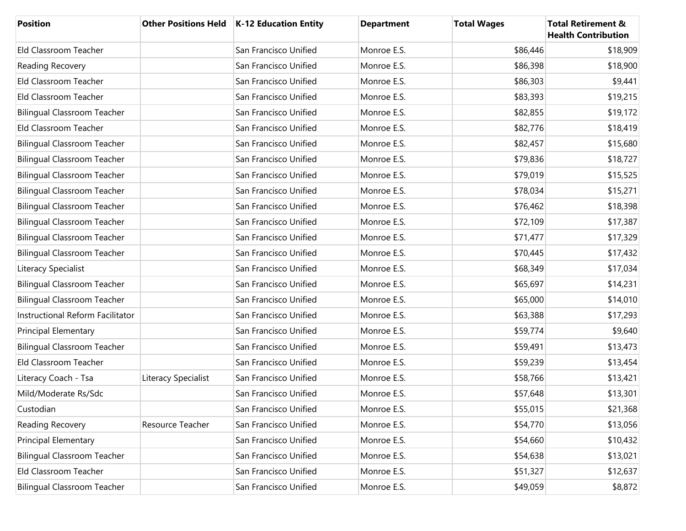| <b>Position</b>                    |                     | Other Positions Held   K-12 Education Entity | <b>Department</b> | <b>Total Wages</b> | <b>Total Retirement &amp;</b><br><b>Health Contribution</b> |
|------------------------------------|---------------------|----------------------------------------------|-------------------|--------------------|-------------------------------------------------------------|
| Eld Classroom Teacher              |                     | San Francisco Unified                        | Monroe E.S.       | \$86,446           | \$18,909                                                    |
| Reading Recovery                   |                     | San Francisco Unified                        | Monroe E.S.       | \$86,398           | \$18,900                                                    |
| Eld Classroom Teacher              |                     | San Francisco Unified                        | Monroe E.S.       | \$86,303           | \$9,441                                                     |
| Eld Classroom Teacher              |                     | San Francisco Unified                        | Monroe E.S.       | \$83,393           | \$19,215                                                    |
| <b>Bilingual Classroom Teacher</b> |                     | San Francisco Unified                        | Monroe E.S.       | \$82,855           | \$19,172                                                    |
| Eld Classroom Teacher              |                     | San Francisco Unified                        | Monroe E.S.       | \$82,776           | \$18,419                                                    |
| <b>Bilingual Classroom Teacher</b> |                     | San Francisco Unified                        | Monroe E.S.       | \$82,457           | \$15,680                                                    |
| <b>Bilingual Classroom Teacher</b> |                     | San Francisco Unified                        | Monroe E.S.       | \$79,836           | \$18,727                                                    |
| <b>Bilingual Classroom Teacher</b> |                     | San Francisco Unified                        | Monroe E.S.       | \$79,019           | \$15,525                                                    |
| <b>Bilingual Classroom Teacher</b> |                     | San Francisco Unified                        | Monroe E.S.       | \$78,034           | \$15,271                                                    |
| <b>Bilingual Classroom Teacher</b> |                     | San Francisco Unified                        | Monroe E.S.       | \$76,462           | \$18,398                                                    |
| <b>Bilingual Classroom Teacher</b> |                     | San Francisco Unified                        | Monroe E.S.       | \$72,109           | \$17,387                                                    |
| <b>Bilingual Classroom Teacher</b> |                     | San Francisco Unified                        | Monroe E.S.       | \$71,477           | \$17,329                                                    |
| <b>Bilingual Classroom Teacher</b> |                     | San Francisco Unified                        | Monroe E.S.       | \$70,445           | \$17,432                                                    |
| Literacy Specialist                |                     | San Francisco Unified                        | Monroe E.S.       | \$68,349           | \$17,034                                                    |
| <b>Bilingual Classroom Teacher</b> |                     | San Francisco Unified                        | Monroe E.S.       | \$65,697           | \$14,231                                                    |
| <b>Bilingual Classroom Teacher</b> |                     | San Francisco Unified                        | Monroe E.S.       | \$65,000           | \$14,010                                                    |
| Instructional Reform Facilitator   |                     | San Francisco Unified                        | Monroe E.S.       | \$63,388           | \$17,293                                                    |
| <b>Principal Elementary</b>        |                     | San Francisco Unified                        | Monroe E.S.       | \$59,774           | \$9,640                                                     |
| <b>Bilingual Classroom Teacher</b> |                     | San Francisco Unified                        | Monroe E.S.       | \$59,491           | \$13,473                                                    |
| Eld Classroom Teacher              |                     | San Francisco Unified                        | Monroe E.S.       | \$59,239           | \$13,454                                                    |
| Literacy Coach - Tsa               | Literacy Specialist | San Francisco Unified                        | Monroe E.S.       | \$58,766           | \$13,421                                                    |
| Mild/Moderate Rs/Sdc               |                     | San Francisco Unified                        | Monroe E.S.       | \$57,648           | \$13,301                                                    |
| Custodian                          |                     | San Francisco Unified                        | Monroe E.S.       | \$55,015           | \$21,368                                                    |
| Reading Recovery                   | Resource Teacher    | San Francisco Unified                        | Monroe E.S.       | \$54,770           | \$13,056                                                    |
| <b>Principal Elementary</b>        |                     | San Francisco Unified                        | Monroe E.S.       | \$54,660           | \$10,432                                                    |
| <b>Bilingual Classroom Teacher</b> |                     | San Francisco Unified                        | Monroe E.S.       | \$54,638           | \$13,021                                                    |
| Eld Classroom Teacher              |                     | San Francisco Unified                        | Monroe E.S.       | \$51,327           | \$12,637                                                    |
| <b>Bilingual Classroom Teacher</b> |                     | San Francisco Unified                        | Monroe E.S.       | \$49,059           | \$8,872                                                     |